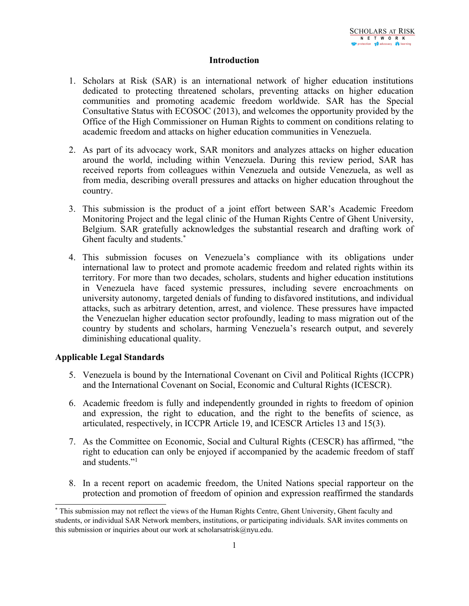#### **Introduction**

- 1. Scholars at Risk (SAR) is an international network of higher education institutions dedicated to protecting threatened scholars, preventing attacks on higher education communities and promoting academic freedom worldwide. SAR has the Special Consultative Status with ECOSOC (2013), and welcomes the opportunity provided by the Office of the High Commissioner on Human Rights to comment on conditions relating to academic freedom and attacks on higher education communities in Venezuela.
- 2. As par<sup>t</sup> of its advocacy work, SAR monitors and analyzes attacks on higher education around the world, including within Venezuela. During this review period, SAR has received reports from colleagues within Venezuela and outside Venezuela, as well as from media, describing overall pressures and attacks on higher education throughout the country.
- 3. This submission is the product of <sup>a</sup> joint effort between SAR'<sup>s</sup> Academic Freedom Monitoring Project and the legal clinic of the Human Rights Centre of Ghent University, Belgium. SAR gratefully acknowledges the substantial research and drafting work of Ghent faculty and students. \*
- 4. This submission focuses on Venezuela'<sup>s</sup> compliance with its obligations under international law to protect and promote academic freedom and related rights within its territory. For more than two decades, scholars, students and higher education institutions in Venezuela have faced systemic pressures, including severe encroachments on university autonomy, targeted denials of funding to disfavored institutions, and individual attacks, such as arbitrary detention, arrest, and violence. These pressures have impacted the Venezuelan higher education sector profoundly, leading to mass migration out of the country by students and scholars, harming Venezuela'<sup>s</sup> research output, and severely diminishing educational quality.

# **Applicable Legal Standards**

- 5. Venezuela is bound by the International Covenant on Civil and Political Rights (ICCPR) and the International Covenant on Social, Economic and Cultural Rights (ICESCR).
- 6. Academic freedom is fully and independently grounded in rights to freedom of opinion and expression, the right to education, and the right to the benefits of science, as articulated, respectively, in ICCPR Article 19, and ICESCR Articles 13 and 15(3).
- 7. As the Committee on Economic, Social and Cultural Rights (CESCR) has affirmed, "the right to education can only be enjoyed if accompanied by the academic freedom of staff and students."<sup>1</sup>
- 8. In <sup>a</sup> recent repor<sup>t</sup> on academic freedom, the United Nations special rapporteur on the protection and promotion of freedom of opinion and expression reaffirmed the standards

<sup>\*</sup>This submission may not reflect the views of the Human Rights Centre, Ghent University, Ghent faculty and students, or individual SAR Network members, institutions, or participating individuals. SAR invites comments on this submission or inquiries about our work at scholarsatrisk@nyu.edu.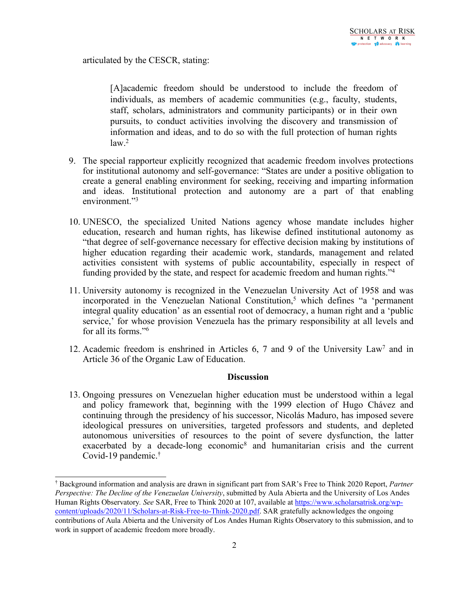articulated by the CESCR, stating:

[A]academic freedom should be understood to include the freedom of individuals, as members of academic communities (e.g., faculty, students, staff, scholars, administrators and community participants) or in their own pursuits, to conduct activities involving the discovery and transmission of information and ideas, and to do so with the full protection of human rights law. 2

- 9. The special rapporteur explicitly recognized that academic freedom involves protections for institutional autonomy and self-governance: "States are under <sup>a</sup> positive obligation to create <sup>a</sup> general enabling environment for seeking, receiving and imparting information and ideas. Institutional protection and autonomy are <sup>a</sup> par<sup>t</sup> of that enabling environment."<sup>3</sup>
- 10. UNESCO, the specialized United Nations agency whose mandate includes higher education, research and human rights, has likewise defined institutional autonomy as "that degree of self-governance necessary for effective decision making by institutions of higher education regarding their academic work, standards, managemen<sup>t</sup> and related activities consistent with systems of public accountability, especially in respec<sup>t</sup> of funding provided by the state, and respec<sup>t</sup> for academic freedom and human rights."<sup>4</sup>
- 11. University autonomy is recognized in the Venezuelan University Act of 1958 and was incorporated in the Venezuelan National Constitution, <sup>5</sup> which defines "<sup>a</sup> 'permanen<sup>t</sup> integral quality education' as an essential root of democracy, <sup>a</sup> human right and <sup>a</sup> 'public service,' for whose provision Venezuela has the primary responsibility at all levels and for all its forms."<sup>6</sup>
- 12. Academic freedom is enshrined in Articles 6, 7 and 9 of the University Law<sup>7</sup> and in Article 36 of the Organic Law of Education.

# **Discussion**

13. Ongoing pressures on Venezuelan higher education must be understood within <sup>a</sup> legal and policy framework that, beginning with the 1999 election of Hugo Chávez and continuing through the presidency of his successor, Nicolás Maduro, has imposed severe ideological pressures on universities, targeted professors and students, and depleted autonomous universities of resources to the point of severe dysfunction, the latter exacerbated by a decade-long economic<sup>8</sup> and humanitarian crisis and the current Covid-19 pandemic. †

<sup>†</sup> Background information and analysis are drawn in significant par<sup>t</sup> from SAR'<sup>s</sup> Free to Think 2020 Report, *Partner Perspective: The Decline of the Venezuelan University*, submitted by Aula Abierta and the University of Los Andes Human Rights Observatory*. See* SAR, Free to Think 2020 at 107, available at [https://www.scholarsatrisk.org/wp](https://www.scholarsatrisk.org/wp-content/uploads/2020/11/Scholars-at-Risk-Free-to-Think-2020.pdf)[content/uploads/2020/11/Scholars-at-Risk-Free-to-Think-2020.pdf](https://www.scholarsatrisk.org/wp-content/uploads/2020/11/Scholars-at-Risk-Free-to-Think-2020.pdf). SAR gratefully acknowledges the ongoing contributions of Aula Abierta and the University of Los Andes Human Rights Observatory to this submission, and to work in suppor<sup>t</sup> of academic freedom more broadly.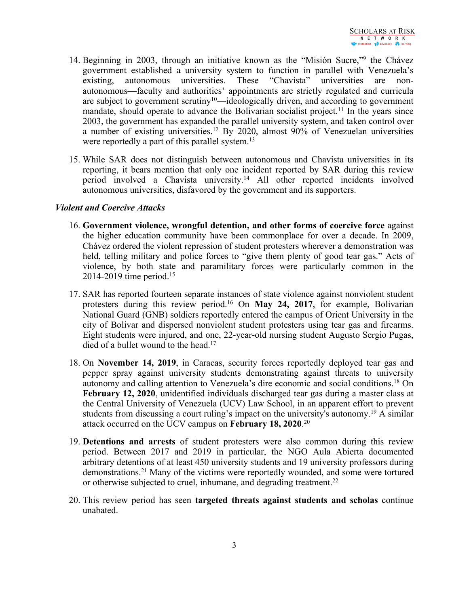- 14. Beginning in 2003, through an initiative known as the "Misión Sucre,"<sup>9</sup> the Chávez governmen<sup>t</sup> established <sup>a</sup> university system to function in parallel with Venezuela'<sup>s</sup> existing, autonomous universities. These "Chavista" universities are nonautonomous—faculty and authorities' appointments are strictly regulated and curricula are subject to government scrutiny<sup>10</sup>—ideologically driven, and according to government mandate, should operate to advance the Bolivarian socialist project.<sup>11</sup> In the years since 2003, the governmen<sup>t</sup> has expanded the parallel university system, and taken control over <sup>a</sup> number of existing universities. <sup>12</sup> By 2020, almost 90% of Venezuelan universities were reportedly a part of this parallel system.<sup>13</sup>
- 15. While SAR does not distinguish between autonomous and Chavista universities in its reporting, it bears mention that only one incident reported by SAR during this review period involved <sup>a</sup> Chavista university. <sup>14</sup> All other reported incidents involved autonomous universities, disfavored by the governmen<sup>t</sup> and its supporters.

### *Violent and Coercive Attacks*

- 16. **Government violence, wrongful detention, and other forms of coercive force** against the higher education community have been commonplace for over <sup>a</sup> decade. In 2009, Chávez ordered the violent repression of student protesters wherever <sup>a</sup> demonstration was held, telling military and police forces to "give them plenty of good tear gas." Acts of violence, by both state and paramilitary forces were particularly common in the 2014-2019 time period. 15
- 17. SAR has reported fourteen separate instances of state violence against nonviolent student protesters during this review period. <sup>16</sup> On **May 24, 2017**, for example, Bolivarian National Guard (GNB) soldiers reportedly entered the campus of Orient University in the city of Bolivar and dispersed nonviolent student protesters using tear gas and firearms. Eight students were injured, and one, 22-year-old nursing student Augusto Sergio Pugas, died of <sup>a</sup> bullet wound to the head. 17
- 18. On **November 14, 2019**, in Caracas, security forces reportedly deployed tear gas and pepper spray against university students demonstrating against threats to university autonomy and calling attention to Venezuela'<sup>s</sup> dire economic and social conditions. <sup>18</sup> On **February 12, 2020**, unidentified individuals discharged tear gas during <sup>a</sup> master class at the Central University of Venezuela (UCV) Law School, in an apparen<sup>t</sup> effort to preven<sup>t</sup> students from discussing <sup>a</sup> court ruling'<sup>s</sup> impact on the university's autonomy. <sup>19</sup> A similar attack occurred on the UCV campus on **February 18, 2020**. 20
- 19. **Detentions and arrests** of student protesters were also common during this review period. Between 2017 and 2019 in particular, the NGO Aula Abierta documented arbitrary detentions of at least 450 university students and 19 university professors during demonstrations. <sup>21</sup> Many of the victims were reportedly wounded, and some were tortured or otherwise subjected to cruel, inhumane, and degrading treatment.<sup>22</sup>
- 20. This review period has seen **targeted threats against students and scholas** continue unabated.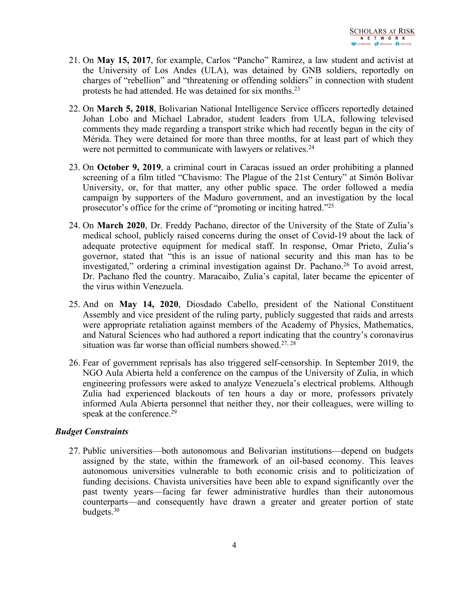- 21. On **May 15, 2017**, for example, Carlos "Pancho" Ramirez, <sup>a</sup> law student and activist at the University of Los Andes (ULA), was detained by GNB soldiers, reportedly on charges of "rebellion" and "threatening or offending soldiers" in connection with student protests he had attended. He was detained for six months.<sup>23</sup>
- 22. On **March 5, 2018**, Bolivarian National Intelligence Service officers reportedly detained Johan Lobo and Michael Labrador, student leaders from ULA, following televised comments they made regarding <sup>a</sup> transport strike which had recently begun in the city of Mérida. They were detained for more than three months, for at least par<sup>t</sup> of which they were not permitted to communicate with lawyers or relatives.<sup>24</sup>
- 23. On **October 9, 2019**, <sup>a</sup> criminal court in Caracas issued an order prohibiting <sup>a</sup> planned screening of <sup>a</sup> film titled "Chavismo: The Plague of the 21st Century" at Simón Bolívar University, or, for that matter, any other public space. The order followed <sup>a</sup> media campaign by supporters of the Maduro government, and an investigation by the local prosecutor'<sup>s</sup> office for the crime of "promoting or inciting hatred."<sup>25</sup>
- 24. On **March 2020**, Dr. Freddy Pachano, director of the University of the State of Zulia'<sup>s</sup> medical school, publicly raised concerns during the onset of Covid-19 about the lack of adequate protective equipment for medical staff. In response, Omar Prieto, Zulia'<sup>s</sup> governor, stated that "this is an issue of national security and this man has to be investigated," ordering <sup>a</sup> criminal investigation against Dr. Pachano. 26 To avoid arrest, Dr. Pachano fled the country. Maracaibo, Zulia'<sup>s</sup> capital, later became the epicenter of the virus within Venezuela.
- 25. And on **May 14, 2020**, Diosdado Cabello, president of the National Constituent Assembly and vice president of the ruling party, publicly suggested that raids and arrests were appropriate retaliation against members of the Academy of Physics, Mathematics, and Natural Sciences who had authored <sup>a</sup> repor<sup>t</sup> indicating that the country'<sup>s</sup> coronavirus situation was far worse than official numbers showed.<sup>27, 28</sup>
- 26. Fear of governmen<sup>t</sup> reprisals has also triggered self-censorship. In September 2019, the NGO Aula Abierta held <sup>a</sup> conference on the campus of the University of Zulia, in which engineering professors were asked to analyze Venezuela'<sup>s</sup> electrical problems. Although Zulia had experienced blackouts of ten hours <sup>a</sup> day or more, professors privately informed Aula Abierta personnel that neither they, nor their colleagues, were willing to speak at the conference. 29

# *Budget Constraints*

27. Public universities—both autonomous and Bolivarian institutions—depend on budgets assigned by the state, within the framework of an oil-based economy. This leaves autonomous universities vulnerable to both economic crisis and to politicization of funding decisions. Chavista universities have been able to expand significantly over the pas<sup>t</sup> twenty years—facing far fewer administrative hurdles than their autonomous counterparts—and consequently have drawn <sup>a</sup> greater and greater portion of state budgets. 30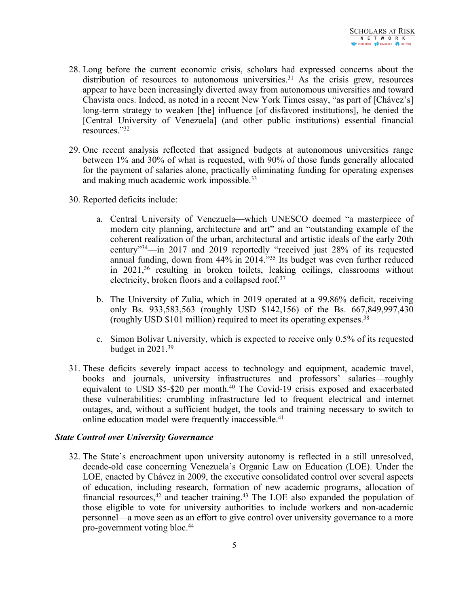- 28. Long before the current economic crisis, scholars had expressed concerns about the distribution of resources to autonomous universities.<sup>31</sup> As the crisis grew, resources appear to have been increasingly diverted away from autonomous universities and toward Chavista ones. Indeed, as noted in <sup>a</sup> recent New York Times essay, "as par<sup>t</sup> of [Chávez's] long-term strategy to weaken [the] influence [of disfavored institutions], he denied the [Central University of Venezuela] (and other public institutions) essential [financial](https://www.letraslibres.com/espana-mexico/politica/la-guerra-contra-las-universidades-en-venezuela) [resources](https://www.letraslibres.com/espana-mexico/politica/la-guerra-contra-las-universidades-en-venezuela)."<sup>32</sup>
- 29. One recent analysis reflected that assigned budgets at autonomous universities range between 1% and 30% of what is requested, with 90% of those funds generally allocated for the paymen<sup>t</sup> of salaries alone, practically eliminating funding for operating expenses and making much academic work impossible.<sup>33</sup>
- 30. Reported deficits include:
	- a. Central University of Venezuela—which UNESCO deemed "<sup>a</sup> masterpiece of modern city planning, architecture and art" and an "outstanding example of the coherent realization of the urban, architectural and artistic ideals of the early 20th century"34—in 2017 and 2019 reportedly "received just 28% of its requested annual funding, down from 44% in 2014."<sup>35</sup> Its budget was even further reduced in 2021, 36 resulting in broken toilets, leaking ceilings, classrooms without electricity, broken floors and <sup>a</sup> collapsed roof. 37
	- b. The University of Zulia, which in 2019 operated at <sup>a</sup> 99.86% deficit, receiving only Bs. 933,583,563 (roughly USD \$142,156) of the Bs. 667,849,997,430 (roughly USD \$101 million) required to meet its operating expenses. 38
	- c. Simon Bolivar University, which is expected to receive only 0.5% of its requested budget in 2021. 39
- 31. These deficits severely impact access to technology and equipment, academic travel, books and journals, university infrastructures and professors' salaries—roughly equivalent to USD \$5-\$20 per month. 40 The Covid-19 crisis exposed and exacerbated these vulnerabilities: crumbling infrastructure led to frequent electrical and internet outages, and, without <sup>a</sup> sufficient budget, the tools and training necessary to switch to online education model were frequently inaccessible. 41

#### *State Control over University Governance*

32. The State'<sup>s</sup> encroachment upon university autonomy is reflected in <sup>a</sup> still unresolved, decade-old case concerning Venezuela'<sup>s</sup> Organic Law on Education (LOE). Under the LOE, enacted by Chávez in 2009, the executive consolidated control over several aspects of education, including research, formation of new academic programs, allocation of financial resources,<sup>42</sup> and teacher training.<sup>43</sup> The LOE also expanded the population of those eligible to vote for university authorities to include workers and non-academic personnel—<sup>a</sup> move seen as an effort to give control over university governance to <sup>a</sup> more pro-governmen<sup>t</sup> voting bloc. 44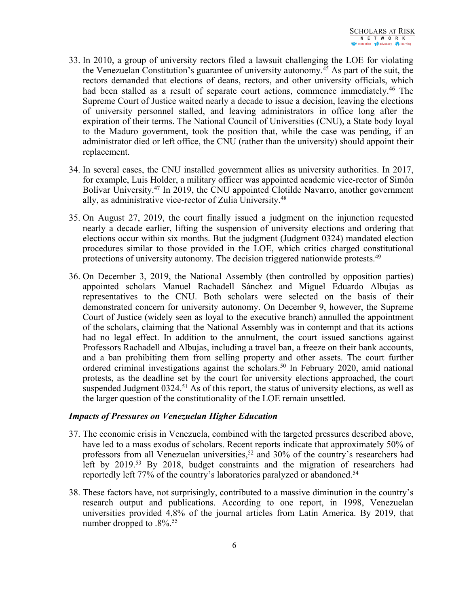- 33. In 2010, <sup>a</sup> group of university rectors filed <sup>a</sup> lawsuit challenging the LOE for violating the Venezuelan Constitution'<sup>s</sup> guarantee of university autonomy. <sup>45</sup> As par<sup>t</sup> of the suit, the rectors demanded that elections of deans, rectors, and other university officials, which had been stalled as a result of separate court actions, commence immediately.<sup>46</sup> The Supreme Court of Justice waited nearly <sup>a</sup> decade to issue <sup>a</sup> decision, leaving the elections of university personnel stalled, and leaving administrators in office long after the expiration of their terms. The National Council of Universities (CNU), <sup>a</sup> State body loyal to the Maduro government, took the position that, while the case was pending, if an administrator died or left office, the CNU (rather than the university) should appoint their replacement.
- 34. In several cases, the CNU installed governmen<sup>t</sup> allies as university authorities. In 2017, for example, Luis Holder, <sup>a</sup> military officer was appointed academic vice-rector of Simón Bolívar University.<sup>47</sup> In 2019, the CNU appointed Clotilde Navarro, another government ally, as administrative vice-rector of Zulia University. 48
- 35. On August 27, 2019, the court finally issued <sup>a</sup> judgment on the injunction requested nearly <sup>a</sup> decade earlier, lifting the suspension of university elections and ordering that elections occur within six months. But the judgment (Judgment 0324) mandated election procedures similar to those provided in the LOE, which critics charged constitutional protections of university autonomy. The decision triggered nationwide protests.<sup>49</sup>
- 36. On December 3, 2019, the National Assembly (then controlled by opposition parties) appointed scholars Manuel Rachadell Sánchez and Miguel Eduardo Albujas as representatives to the CNU. Both scholars were selected on the basis of their demonstrated concern for university autonomy. On December 9, however, the Supreme Court of Justice (widely seen as loyal to the executive branch) annulled the appointment of the scholars, claiming that the National Assembly was in contempt and that its actions had no legal effect. In addition to the annulment, the court issued sanctions against Professors Rachadell and Albujas, including <sup>a</sup> travel ban, <sup>a</sup> freeze on their bank accounts, and <sup>a</sup> ban prohibiting them from selling property and other assets. The court further ordered criminal investigations against the scholars. 50 In February 2020, amid national protests, as the deadline set by the court for university elections approached, the court suspended Judgment 0324. <sup>51</sup> As of this report, the status of university elections, as well as the larger question of the constitutionality of the LOE remain unsettled.

#### *Impacts of Pressures on Venezuelan Higher Education*

- 37. The economic crisis in Venezuela, combined with the targeted pressures described above, have led to <sup>a</sup> mass exodus of scholars. Recent reports indicate that approximately 50% of professors from all Venezuelan universities, 52 and 30% of the country'<sup>s</sup> researchers had left by 2019. <sup>53</sup> By 2018, budget constraints and the migration of researchers had reportedly left 77% of the country'<sup>s</sup> laboratories paralyzed or abandoned. 54
- 38. These factors have, not surprisingly, contributed to <sup>a</sup> massive diminution in the country'<sup>s</sup> research output and publications. According to one report, in 1998, Venezuelan universities provided 4,8% of the journal articles from Latin America. By 2019, that number dropped to .8%. 55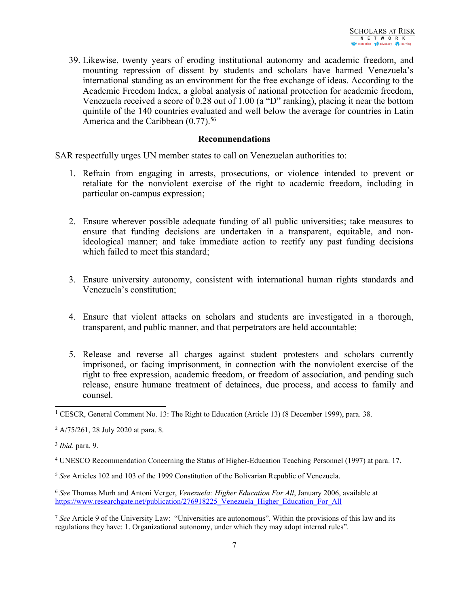39. Likewise, twenty years of eroding institutional autonomy and academic freedom, and mounting repression of dissent by students and scholars have harmed Venezuela'<sup>s</sup> international standing as an environment for the free exchange of ideas. According to the Academic Freedom Index, <sup>a</sup> global analysis of national protection for academic freedom, Venezuela received <sup>a</sup> score of 0.28 out of 1.00 (a "D" ranking), placing it near the bottom quintile of the 140 countries evaluated and well below the average for countries in Latin America and the Caribbean (0.77).<sup>56</sup>

### **Recommendations**

SAR respectfully urges UN member states to call on Venezuelan authorities to:

- 1. Refrain from engaging in arrests, prosecutions, or violence intended to preven<sup>t</sup> or retaliate for the nonviolent exercise of the right to academic freedom, including in particular on-campus expression;
- 2. Ensure wherever possible adequate funding of all public universities; take measures to ensure that funding decisions are undertaken in <sup>a</sup> transparent, equitable, and nonideological manner; and take immediate action to rectify any pas<sup>t</sup> funding decisions which failed to meet this standard;
- 3. Ensure university autonomy, consistent with international human rights standards and Venezuela'<sup>s</sup> constitution;
- 4. Ensure that violent attacks on scholars and students are investigated in <sup>a</sup> thorough, transparent, and public manner, and that perpetrators are held accountable;
- 5. Release and reverse all charges against student protesters and scholars currently imprisoned, or facing imprisonment, in connection with the nonviolent exercise of the right to free expression, academic freedom, or freedom of association, and pending such release, ensure humane treatment of detainees, due process, and access to family and counsel.

<sup>&</sup>lt;sup>1</sup> CESCR, General Comment No. 13: The Right to Education (Article 13) (8 December 1999), para. 38.

<sup>2</sup> A/75/261, 28 July 2020 at para. 8.

<sup>3</sup> *Ibid.* para. 9.

<sup>4</sup> UNESCO Recommendation Concerning the Status of Higher-Education Teaching Personnel (1997) at para. 17.

<sup>5</sup> *See* Articles 102 and 103 of the 1999 Constitution of the Bolivarian Republic of Venezuela.

<sup>6</sup> *See* Thomas Murh and Antoni Verger, *Venezuela: Higher Education For All*, January 2006, available at https://www.researchgate.net/publication/276918225 Venezuela Higher Education For All

<sup>7</sup> *See* Article 9 of the University Law: "Universities are autonomous". Within the provisions of this law and its regulations they have: 1. Organizational autonomy, under which they may adopt internal rules".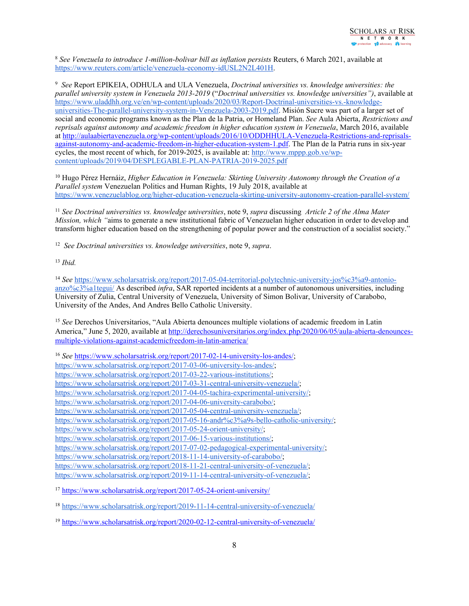8 *See Venezuela to introduce 1-million-bolivar bill as inflation persists* Reuters, 6 March 2021, available at <https://www.reuters.com/article/venezuela-economy-idUSL2N2L401H>.

9 *See* Report EPIKEIA, ODHULA and ULA Venezuela, *Doctrinal universities vs. knowledge universities: the parallel university system in Venezuela 2013-2019* ("*Doctrinal universities vs. knowledge universities")*, available at [https://www.uladdhh.org.ve/en/wp-content/uploads/2020/03/Report-Doctrinal-universities-vs.-knowledge](https://www.uladdhh.org.ve/en/wp-content/uploads/2020/03/Report-Doctrinal-universities-vs.-knowledge-universities-The-parallel-university-system-in-Venezuela-2003-2019.pdf)[universities-The-parallel-university-system-in-Venezuela-2003-2019.pdf](https://www.uladdhh.org.ve/en/wp-content/uploads/2020/03/Report-Doctrinal-universities-vs.-knowledge-universities-The-parallel-university-system-in-Venezuela-2003-2019.pdf). Misión Sucre was par<sup>t</sup> of <sup>a</sup> larger set of social and economic programs known as the Plan de la Patria, or Homeland Plan. *See* Aula Abierta, *Restrictions and reprisals against autonomy and academic freedom in higher education system in Venezuela*, March 2016, available at [http://aulaabiertavenezuela.org/wp-content/uploads/2016/10/ODDHHULA-Venezuela-Restrictions-and-reprisals](http://aulaabiertavenezuela.org/wp-content/uploads/2016/10/ODDHHULA-Venezuela-Restrictions-and-reprisals-against-autonomy-and-academic-freedom-in-higher-education-system-1.pdf)aga[inst-autonomy-and-academic-freedom-in-higher-education-system-1.pdf](http://aulaabiertavenezuela.org/wp-content/uploads/2016/10/ODDHHULA-Venezuela-Restrictions-and-reprisals-against-autonomy-and-academic-freedom-in-higher-education-system-1.pdf). The Plan de la Patria runs in six-year cycles, the most recent of which, for 2019-2025, is available at: [http://www.mppp.gob.ve/wp](http://www.mppp.gob.ve/wp-content/uploads/2019/04/DESPLEGABLE-PLAN-PATRIA-2019-2025.pdf)[content/uploads/2019/04/DESPLEGABLE-PLAN-PATRIA-2019-2025.pdf](http://www.mppp.gob.ve/wp-content/uploads/2019/04/DESPLEGABLE-PLAN-PATRIA-2019-2025.pdf)

<sup>10</sup> Hugo Pérez Hernáiz, *Higher Education in Venezuela: Skirting University Autonomy through the Creation of <sup>a</sup> Parallel system* Venezuelan Politics and Human Rights, 19 July 2018, available at <https://www.venezuelablog.org/higher-education-venezuela-skirting-university-autonomy-creation-parallel-system/>

11 *See Doctrinal universities vs. knowledge universities*, note 9, *supra* discussing *Article 2 of the Alma Mater Mission, which "*aims to generate <sup>a</sup> new institutional fabric of Venezuelan higher education in order to develop and transform higher education based on the strengthening of popular power and the construction of <sup>a</sup> socialist society."

12 *See Doctrinal universities vs. knowledge universities*, note 9, *supra*.

13 *Ibid.*

<sup>14</sup> See [https://www.scholarsatrisk.org/report/2017-05-04-territorial-polytechnic-university-jos%c3%a9-antonio](https://www.scholarsatrisk.org/report/2017-05-04-territorial-polytechnic-university-jos%c3%a9-antonio-anzo%c3%a1tegui/)[anzo%c3%a1tegui/](https://www.scholarsatrisk.org/report/2017-05-04-territorial-polytechnic-university-jos%c3%a9-antonio-anzo%c3%a1tegui/) As described *infra*, SAR reported incidents at <sup>a</sup> number of autonomous universities, including University of Zulia, Central University of Venezuela, University of Simon Bolivar, University of Carabobo, University of the Andes, And Andres Bello Catholic University.

<sup>15</sup> See Derechos Universitarios, "Aula Abierta denounces multiple violations of academic freedom in Latin America," June 5, 2020, available at [http://derechosuniversitarios.org/index.php/2020/06/05/aula-abierta-denounces](http://derechosuniversitarios.org/index.php/2020/06/05/aula-abierta-denounces-multiple-violations-against-academicfreedom-in-latin-america/)[multiple-violations-against-academicfreedom-in-latin-america/](http://derechosuniversitarios.org/index.php/2020/06/05/aula-abierta-denounces-multiple-violations-against-academicfreedom-in-latin-america/)

<sup>17</sup> <https://www.scholarsatrisk.org/report/2017-05-24-orient-university/>

<sup>18</sup> <https://www.scholarsatrisk.org/report/2019-11-14-central-university-of-venezuela/>

<sup>19</sup> <https://www.scholarsatrisk.org/report/2020-02-12-central-university-of-venezuela/>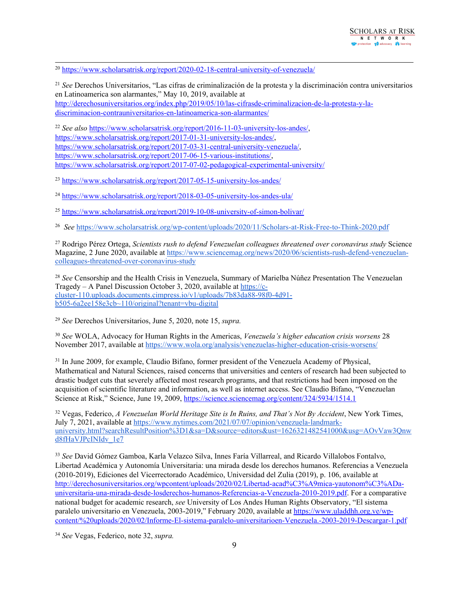<sup>20</sup> <https://www.scholarsatrisk.org/report/2020-02-18-central-university-of-venezuela/>

21 *See* Derechos Universitarios, "Las cifras de criminalización de la protesta y la discriminación contra universitarios en Latinoamerica son alarmantes," May 10, 2019, available at [http://derechosuniversitarios.org/index.php/2019/05/10/las-cifrasde-criminalizacion-de-la-protesta-y-la](http://derechosuniversitarios.org/index.php/2019/05/10/las-cifrasde-criminalizacion-de-la-protesta-y-la-discriminacion-contrauniversitarios-en-latinoamerica-son-alarmantes/)[discriminacion-contrauniversitarios-en-latinoamerica-son-alarmantes/](http://derechosuniversitarios.org/index.php/2019/05/10/las-cifrasde-criminalizacion-de-la-protesta-y-la-discriminacion-contrauniversitarios-en-latinoamerica-son-alarmantes/)

22 *See also* <https://www.scholarsatrisk.org/report/2016-11-03-university-los-andes/>, <https://www.scholarsatrisk.org/report/2017-01-31-university-los-andes/>, <https://www.scholarsatrisk.org/report/2017-03-31-central-university-venezuela/>, <https://www.scholarsatrisk.org/report/2017-06-15-various-institutions/>, <https://www.scholarsatrisk.org/report/2017-07-02-pedagogical-experimental-university/>

<sup>23</sup> <https://www.scholarsatrisk.org/report/2017-05-15-university-los-andes/>

<sup>24</sup> <https://www.scholarsatrisk.org/report/2018-03-05-university-los-andes-ula/>

<sup>25</sup> <https://www.scholarsatrisk.org/report/2019-10-08-university-of-simon-bolivar/>

26 *See* <https://www.scholarsatrisk.org/wp-content/uploads/2020/11/Scholars-at-Risk-Free-to-Think-2020.pdf>

<sup>27</sup> Rodrigo Pérez Ortega, *Scientists rush to defend Venezuelan colleagues threatened over coronavirus study* Science Magazine, 2 June 2020, available at [https://www.sciencemag.org/news/2020/06/scientists-rush-defend-venezuelan](https://www.sciencemag.org/news/2020/06/scientists-rush-defend-venezuelan-colleagues-threatened-over-coronavirus-study)[colleagues-threatened-over-coronavirus-study](https://www.sciencemag.org/news/2020/06/scientists-rush-defend-venezuelan-colleagues-threatened-over-coronavirus-study)

28 *See* Censorship and the Health Crisis in Venezuela, Summary of Marielba Núñez Presentation The Venezuelan Tragedy – A Panel Discussion October 3, 2020, available at [https://c](https://c-cluster-110.uploads.documents.cimpress.io/v1/uploads/7b83da88-98f0-4d91-b505-6a2ee158e3cb~110/original?tenant=vbu-digital)[cluster-110.uploads.documents.cimpress.io/v1/uploads/7b83da88-98f0-4d91](https://c-cluster-110.uploads.documents.cimpress.io/v1/uploads/7b83da88-98f0-4d91-b505-6a2ee158e3cb~110/original?tenant=vbu-digital) [b505-6a2ee158e3cb~110/original?tenant=vbu-digital](https://c-cluster-110.uploads.documents.cimpress.io/v1/uploads/7b83da88-98f0-4d91-b505-6a2ee158e3cb~110/original?tenant=vbu-digital)

29 *See* Derechos Universitarios, June 5, 2020, note 15, *supra.*

30 *See* WOLA, Advocacy for Human Rights in the Americas, *Venezuela'<sup>s</sup> higher education crisis worsens* 28 November 2017, available at <https://www.wola.org/analysis/venezuelas-higher-education-crisis-worsens/>

<sup>31</sup> In June 2009, for example, Claudio Bifano, former president of the Venezuela Academy of Physical, Mathematical and Natural Sciences, raised concerns that universities and centers of research had been subjected to drastic budget cuts that severely affected most research programs, and that restrictions had been imposed on the acquisition of scientific literature and information, as well as internet access. See Claudio Bifano, "Venezuelan Science at Risk," Science, June 19, 2009, <https://science.sciencemag.org/content/324/5934/1514.1>

<sup>32</sup> Vegas, Federico, *<sup>A</sup> Venezuelan World Heritage Site is In Ruins, and That'<sup>s</sup> Not By Accident*, New York Times, July 7, 2021, available at [https://www.nytimes.com/2021/07/07/opinion/venezuela-landmark](https://www.nytimes.com/2021/07/07/opinion/venezuela-landmark-university.html?searchResultPosition%3D1&sa=D&source=editors&ust=1626321482541000&usg=AOvVaw3Qnwd8fHaVJPcINIdv_1e7)[university.html?searchResultPosition%3D1&sa=D&source=editors&ust=1626321482541000&usg=AOvVaw3Qnw](https://www.nytimes.com/2021/07/07/opinion/venezuela-landmark-university.html?searchResultPosition%3D1&sa=D&source=editors&ust=1626321482541000&usg=AOvVaw3Qnwd8fHaVJPcINIdv_1e7) [d8fHaVJPcINIdv\\_1e7](https://www.nytimes.com/2021/07/07/opinion/venezuela-landmark-university.html?searchResultPosition%3D1&sa=D&source=editors&ust=1626321482541000&usg=AOvVaw3Qnwd8fHaVJPcINIdv_1e7)

33 *See* David Gómez Gamboa, Karla Velazco Silva, Innes Faría Villarreal, and Ricardo Villalobos Fontalvo, Libertad Académica y Autonomía Universitaria: una mirada desde los derechos humanos. Referencias <sup>a</sup> Venezuela (2010-2019), Ediciones del Vicerrectorado Académico, Universidad del Zulia (2019), p. 106, available at [http://derechosuniversitarios.org/wpcontent/uploads/2020/02/Libertad-acad%C3%A9mica-yautonom%C3%ADa](http://derechosuniversitarios.org/wpcontent/uploads/2020/02/Libertad-acad%C3%A9mica-yautonom%C3%ADa-universitaria-una-mirada-desde-losderechos-humanos-Referencias-a-Venezuela-2010-2019.pdf)[universitaria-una-mirada-desde-losderechos-humanos-Referencias-a-Venezuela-2010-2019.pdf](http://derechosuniversitarios.org/wpcontent/uploads/2020/02/Libertad-acad%C3%A9mica-yautonom%C3%ADa-universitaria-una-mirada-desde-losderechos-humanos-Referencias-a-Venezuela-2010-2019.pdf). For <sup>a</sup> comparative national budget for academic research, *see* University of Los Andes Human Rights Observatory, "El sistema paralelo universitario en Venezuela, 2003-2019," February 2020, available at [https://www.uladdhh.org.ve/wp](https://www.uladdhh.org.ve/wp-content/%20uploads/2020/02/Informe-El-sistema-paralelo-universitarioen-Venezuela.-2003-2019-Descargar-1.pdf)[content/%20uploads/2020/02/Informe-El-sistema-paralelo-universitarioen-Venezuela.-2003-2019-Descargar-1.pdf](https://www.uladdhh.org.ve/wp-content/%20uploads/2020/02/Informe-El-sistema-paralelo-universitarioen-Venezuela.-2003-2019-Descargar-1.pdf)

34 *See* Vegas, Federico, note 32, *supra.*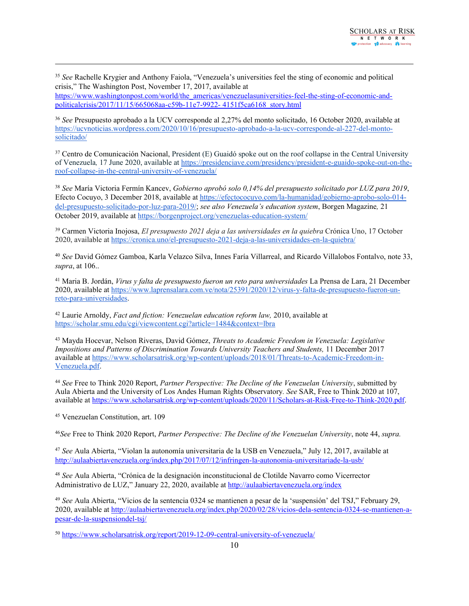35 *See* Rachelle Krygier and Anthony Faiola, "Venezuela'<sup>s</sup> universities feel the sting of economic and political crisis," The Washington Post, November 17, 2017, available at [https://www.washingtonpost.com/world/the\\_americas/venezuelasuniversities-feel-the-sting-of-economic-and](https://www.washingtonpost.com/world/the_americas/venezuelasuniversities-feel-the-sting-of-economic-and-politicalcrisis/2017/11/15/665068aa-c59b-11e7-9922-%204151f5ca6168_story.html)po[liticalcrisis/2017/11/15/665068aa-c59b-11e7-9922-](https://www.washingtonpost.com/world/the_americas/venezuelasuniversities-feel-the-sting-of-economic-and-politicalcrisis/2017/11/15/665068aa-c59b-11e7-9922-%204151f5ca6168_story.html) 4151f5ca6168\_story.html

36 *See* Presupuesto aprobado <sup>a</sup> la UCV corresponde al 2,27% del monto solicitado, 16 October 2020, available at [https://ucvnoticias.wordpress.com/2020/10/16/presupuesto-aprobado-a-la-ucv-corresponde-al-227-del-monto](https://ucvnoticias.wordpress.com/2020/10/16/presupuesto-aprobado-a-la-ucv-corresponde-al-227-del-monto-solicitado/)[solicitado/](https://ucvnoticias.wordpress.com/2020/10/16/presupuesto-aprobado-a-la-ucv-corresponde-al-227-del-monto-solicitado/)

<sup>37</sup> Centro de Comunicación Nacional, President (E) Guaidó spoke out on the roof collapse in the Central University of Venezuela*,* 17 June 2020, available at [https://presidenciave.com/presidency/president-e-guaido-spoke-out-on-the](https://presidenciave.com/presidency/president-e-guaido-spoke-out-on-the-roof-collapse-in-the-central-university-of-venezuela/)[roof-collapse-in-the-central-university-of-venezuela/](https://presidenciave.com/presidency/president-e-guaido-spoke-out-on-the-roof-collapse-in-the-central-university-of-venezuela/)

38 *See* María Victoria Fermín [Kancev](https://efectococuyo.com/author/maria-victoria-fermin/), *Gobierno aprobó solo 0,14% del presupuesto solicitado por LUZ para 2019*, Efecto Cocuyo, 3 December 2018, available at [https://efectococuyo.com/la-humanidad/gobierno-aprobo-solo-014](https://efectococuyo.com/la-humanidad/gobierno-aprobo-solo-014-del-presupuesto-solicitado-por-luz-para-2019/) [del-presupuesto-solicitado-por-luz-para-2019/](https://efectococuyo.com/la-humanidad/gobierno-aprobo-solo-014-del-presupuesto-solicitado-por-luz-para-2019/); *see also Venezuela'<sup>s</sup> education system*, Borgen Magazine*,* 21 October 2019, available at <https://borgenproject.org/venezuelas-education-system/>

<sup>39</sup> Carmen Victoria Inojosa, *El presupuesto 2021 deja <sup>a</sup> las universidades en la quiebra* Crónica Uno, 17 October 2020, available at <https://cronica.uno/el-presupuesto-2021-deja-a-las-universidades-en-la-quiebra/>

40 *See* David Gómez Gamboa, Karla Velazco Silva, Innes Faría Villarreal, and Ricardo Villalobos Fontalvo, note 33, *supra*, at 106..

<sup>41</sup> Maria B. Jordán, *Virus <sup>y</sup> falta de presupuesto fueron un reto para universidades* La Prensa de Lara, <sup>21</sup> December 2020, available at [https://www.laprensalara.com.ve/nota/25391/2020/12/virus-y-falta-de-presupuesto-fueron-un](https://www.laprensalara.com.ve/nota/25391/2020/12/virus-y-falta-de-presupuesto-fueron-un-reto-para-universidades)[reto-para-universidades](https://www.laprensalara.com.ve/nota/25391/2020/12/virus-y-falta-de-presupuesto-fueron-un-reto-para-universidades).

42 Laurie Arnoldy, *Fact and fiction: Venezuelan education reform law,* 2010, available at <https://scholar.smu.edu/cgi/viewcontent.cgi?article=1484&context=lbra>

<sup>43</sup> Mayda Hocevar, Nelson Riveras, David Gómez, *Threats to Academic Freedom in Venezuela: Legislative Impositions and Patterns of Discrimination Towards University Teachers and Students,* 11 December 2017 available at [https://www.scholarsatrisk.org/wp-content/uploads/2018/01/Threats-to-Academic-Freedom-in-](https://www.scholarsatrisk.org/wp-content/uploads/2018/01/Threats-to-Academic-Freedom-in-Venezuela.pdf)[Venezuela.pdf](https://www.scholarsatrisk.org/wp-content/uploads/2018/01/Threats-to-Academic-Freedom-in-Venezuela.pdf).

44 *See* Free to Think 2020 Report, *Partner Perspective: The Decline of the Venezuelan University*, submitted by Aula Abierta and the University of Los Andes Human Rights Observatory*. See* SAR, Free to Think 2020 at 107, available at <https://www.scholarsatrisk.org/wp-content/uploads/2020/11/Scholars-at-Risk-Free-to-Think-2020.pdf>.

<sup>45</sup> Venezuelan Constitution, art. 109

46 *See* Free to Think 2020 Report, *Partner Perspective: The Decline of the Venezuelan University*, note 44, *supra.*

47 *See* Aula Abierta, "Violan la autonomía universitaria de la USB en Venezuela," July 12, 2017, available at <http://aulaabiertavenezuela.org/index.php/2017/07/12/infringen-la-autonomia-universitariade-la-usb/>

48 *See* Aula Abierta, "Crónica de la designación inconstitucional de Clotilde Navarro como Vicerrector Administrativo de LUZ," January 22, 2020, available at <http://aulaabiertavenezuela.org/index>

49 *See* Aula Abierta, "Vicios de la sentencia 0324 se mantienen <sup>a</sup> pesar de la 'suspensión' del TSJ," February 29, 2020, available at [http://aulaabiertavenezuela.org/index.php/2020/02/28/vicios-dela-sentencia-0324-se-mantienen-a](http://aulaabiertavenezuela.org/index.php/2020/02/28/vicios-dela-sentencia-0324-se-mantienen-a-pesar-de-la-suspensiondel-tsj/)[pesar-de-la-suspensiondel-tsj/](http://aulaabiertavenezuela.org/index.php/2020/02/28/vicios-dela-sentencia-0324-se-mantienen-a-pesar-de-la-suspensiondel-tsj/)

<sup>50</sup> <https://www.scholarsatrisk.org/report/2019-12-09-central-university-of-venezuela/>